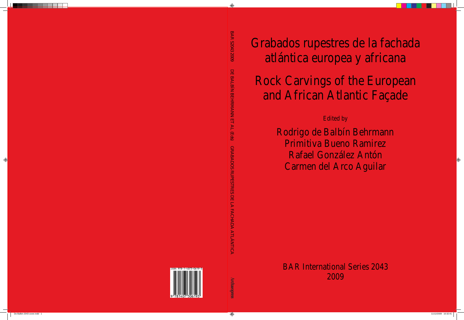Grabados rupestres de la fachada atlántica europea y africana

# Rock Carvings of the European and African Atlantic Façade

## Edited by

Rodrigo de Balbín Behrmann Primitiva Bueno Ramirez Rafael González Antón Carmen del Arco Aguilar

BAR International Series 2043 2009

 $\bigoplus$ 

 $\bigcirc$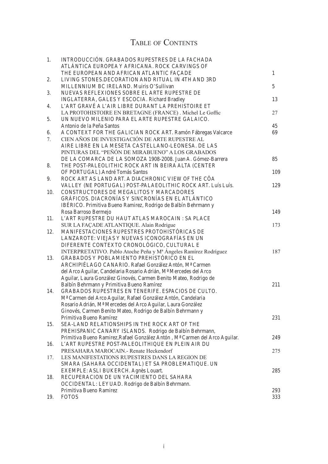# TABLE OF CONTENTS

| 1.             | INTRODUCCIÓN. GRABADOS RUPESTRES DE LA FACHADA<br>ATLÁNTICA EUROPEA Y AFRICANA. ROCK CARVINGS OF |              |
|----------------|--------------------------------------------------------------------------------------------------|--------------|
|                | THE EUROPEAN AND AFRICAN ATLANTIC FAÇADE                                                         | $\mathbf{1}$ |
| 2.<br>3.<br>4. | LIVING STONES.DECORATION AND RITUAL IN 4TH AND 3RD                                               |              |
|                | MILLENNIUM BC IRELAND. Muiris O'Sullivan                                                         | 5            |
|                | NUEVAS REFLEXIONES SOBRE EL ARTE RUPESTRE DE                                                     |              |
|                | INGLATERRA, GALES Y ESCOCIA. Richard Bradley                                                     | 13           |
|                | L'ART GRAVÉ A L'AIR LIBRE DURANT LA PREHISTOIRE ET                                               |              |
|                | LA PROTOHISTOIRE EN BRETAGNE (FRANCE). Michel Le Goffic                                          | 27           |
| 5.             | UN NUEVO MILENIO PARA EL ARTE RUPESTRE GALAICO.                                                  |              |
|                | Antonio de la Peña Santos                                                                        | 45           |
| 6.<br>7.       | A CONTEXT FOR THE GALICIAN ROCK ART. Ramón Fábregas Valcarce                                     | 69           |
|                | CIEN AÑOS DE INVESTIGACIÓN DE ARTE RUPESTRE AL                                                   |              |
|                | AIRE LIBRE EN LA MESETA CASTELLANO-LEONESA. DE LAS                                               |              |
|                | PINTURAS DEL "PEÑÓN DE MIRABUENO" A LOS GRABADOS                                                 |              |
|                | DE LA COMARCA DE LA SOMOZA 1908-2008. Juan A. Gómez-Barrera                                      | 85           |
| 8.             | THE POST-PALEOLITHIC ROCK ART IN BEIRA ALTA (CENTER                                              |              |
|                | OF PORTUGAL). André Tomás Santos                                                                 | 109          |
| 9.             | ROCK ART AS LAND ART. A DIACHRONIC VIEW OF THE CÔA                                               |              |
|                | VALLEY (NE PORTUGAL) POST-PALAEOLITHIC ROCK ART. Luís Luís.                                      | 129          |
| 10.            | CONSTRUCTORES DE MEGALITOS Y MARCADORES<br>GRÁFICOS. DIACRONÍAS Y SINCRONÍAS EN EL ATLÁNTICO     |              |
|                |                                                                                                  |              |
|                | IBÉRICO. Primitiva Bueno Ramirez, Rodrigo de Balbín Behrmann y                                   |              |
|                | Rosa Barroso Bermejo<br>L'ART RUPESTRE DU HAUT ATLAS MAROCAIN : SA PLACE                         | 149          |
| 11.            | SUR LA FAÇADE ATLANTIQUE. Alain Rodrigue                                                         | 173          |
| 12.            | MANIFESTACIONES RUPESTRES PROTOHISTÓRICAS DE                                                     |              |
|                | LANZAROTE: VIEJAS Y NUEVAS ICONOGRAFÍAS EN UN                                                    |              |
|                | DIFERENTE CONTEXTO CRONOLÓGICO, CULTURAL E                                                       |              |
|                | INTERPRETATIVO. Pablo Atoche Peña y Mª Ángeles Ramírez Rodríguez                                 | 187          |
| 13.            | GRABADOS Y POBLAMIENTO PREHISTÓRICO EN EL                                                        |              |
|                | ARCHIPIÉLAGO CANARIO. Rafael González Antón, Mª Carmen                                           |              |
|                | del Arco Aguilar, Candelaria Rosario Adrián, Mª Mercedes del Arco                                |              |
|                | Aguilar, Laura González Ginovés, Carmen Benito Mateo, Rodrigo de                                 |              |
|                | Balbín Behrmann y Primitiva Bueno Ramírez                                                        | 211          |
| 14.            | GRABADOS RUPESTRES EN TENERIFE. ESPACIOS DE CULTO.                                               |              |
|                | M <sup>ª</sup> Carmen del Arco Aguilar, Rafael González Antón, Candelaria                        |              |
|                | Rosario Adrián, Mª Mercedes del Arco Aguilar, Laura González                                     |              |
|                | Ginovés, Carmen Benito Mateo, Rodrigo de Balbín Behrmann y                                       |              |
|                | Primitiva Bueno Ramírez                                                                          | 231          |
| 15.            | SEA-LAND RELATIONSHIPS IN THE ROCK ART OF THE                                                    |              |
|                | PREHISPANIC CANARY ISLANDS. Rodrigo de Balbín Behrmann,                                          |              |
|                | Primitiva Bueno Ramirez, Rafael González Antón, Mª Carmen del Arco Aguilar.                      | 249          |
| 16.            | L'ART RUPESTRE POST-PALEOLITHIQUE EN PLEIN AIR DU                                                |              |
|                | PRESAHARA MAROCAIN. - Renate Heckendorf                                                          | 275          |
| 17.            | LES MANIFESTATIONS RUPESTRES DANS LA REGION DE                                                   |              |
|                | SMARA (SAHARA OCCIDENTAL) ET SA PROBLEMATIQUE. UN                                                |              |
|                | EXEMPLE: ASLI BUKERCH. Agnès Louart.                                                             | 285          |
| 18.            | RECUPERACION DE UN YACIMIENTO DEL SAHARA                                                         |              |
|                | OCCIDENTAL: LEYUAD. Rodrigo de Balbín Behrmann.                                                  |              |
|                | Primitiva Bueno Ramirez                                                                          | 293          |
| 19.            | <b>FOTOS</b>                                                                                     | 333          |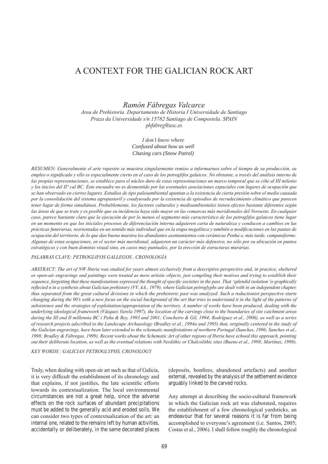## A CONTEXT FOR THE GALICIAN ROCK ART

*Ramón Fábregas Valcarce*

*Area de Prehistoria .Departamento de Historia I Universidade de Santiago Praza da Universidade s/n 15782 Santiago de Compostela. SPAIN phfabreg@usc.es*

> *I don't know where Confused about how as well Chasing cars (Snow Patrol)*

*Resumen : Generalmente el arte rupestre se muestra singularmente remiso a informarnos sobre el tiempo de su producción, su empleo o significado y ello es especialmente cierto en el caso de los petroglifos galaicos. No obstante, a través del análisis interno de las propias representaciones, se establece para el núcleo duro de estas representaciones un marco temporal que se ciñe al III milenio y los inicios del IIº cal BC. Este encuadre no es desmentido por las eventuales asociaciones espaciales con lugares de ocupación que se han observado en ciertos lugares. Estudios de tipo paleoambiental apuntan a la existencia de cierta presión sobre el medio causada por la consolidación del sistema agropastoril y coadyuvada por la existencia de episodios de recrudecimiento climático que parecen tener lugar de forma simultánea. Probablemente, los factores culturales y medioambientales tienen efectos bastante diferentes según las áreas de que se trate y es posible que su incidencia haya sido mayor en las comarcas más meridionales del Noroeste. En cualquier caso, parece bastante claro que la ejecución de por lo menos el segmento más característico de los petroglifos galaicos tiene lugar en un momento en que los iniciales procesos de diferenciación interna adquieren carta de naturaleza y conducen a cambios en las prácticas funerarias, reorientadas en un sentido más individual que en la etapa megalítica y también a modificaciones en las pautas de ocupación del territorio, de lo que dan buena muestra los abundantes asentamientos con cerámicas Penha o, más tarde, campaniforme. Algunas de estas ocupaciones, en el sector más meridional, adquieren un carácter más defensivo, no sólo por su ubicación en puntos estratégicos y con buen dominio visual sino, en casos muy puntuales, por la erección de estructuras murarias.*

### *PALABRAS CLAVE: PETROGLIFOS GALLEGOS , CRONOLOGÍA*

*ABSTRACT: The art of NW Iberia was studied for years almost exclusively from a descriptive perspective and, in practice, sheltered or open-air engravings and paintings were treated as mere artistic objects, just compiling their motives and trying to establish their sequence, forgetting that these manifestations expressed the thought of specific societies in the past. That 'splendid isolation' is graphically reflected n in a synthesis about Galician prehistory (VV. AA., 1979), where Galician petroglyphs are dealt with in an independent chapter, thus separated from the great cultural divisions in which the prehistoric past was analyzed. Such a reductionist perspective starts changing during the 90's with a new focus on the social background of the art that tries to understand it in the light of the patterns of subsistence and the strategies of exploitation/appropriation of the territory. A number of works have been produced, dealing with the underlying ideological framework (Vázquez Varela 1997), the location of the carvings close to the boundaries of site catchment areas during the III and II millennia BC ( Peña & Rey, 1993 and 2001; Concheiro & Gil, 1994; Rodríguez et al., 2006), as well as a series of research projects adscribed to the Landscape Archaeology (Bradley et al., 1994a and 1995) that, originally centered in the study of the Galician engravings, have been later extended to the schematic manifestations of northern Portugal (Sanches, 1996; Sanches et al., 1998; Bradley & Fábregas, 1999). Recent works about the Schematic Art of other regions of Iberia have echoed this approach, pointing out their deliberate location, as well as the eventual relations with Neolithic or Chalcolithic sites (Bueno et al., 1998; Martínez, 1998).*

*KEY WORDS : GALICIAN PETROGLYPHS, CRONOLOGY*

Truly, when dealing with open-air art such as that of Galicia, it is very difficult the establishment of its chronology and that explains, if not justifies, the late scientific efforts towards its contextualization. The local environmental circumstances are not a great help, since the adverse effects on the rock surfaces of abundant precipitations must be added to the generally acid and eroded soils. We can consider two types of contextualization of the art: an internal one, related to the remains left by human activities, accidentally or deliberately, in the same decorated places (deposits, bonfires, abandoned artefacts) and another external, revealed by the analysis of the settlement evidence arguably linked to the carved rocks.

Any attempt at describing the socio-cultural framework in which the Galician rock art was elaborated, requires the establishment of a few chronological yardsticks, an endeavour that for several reasons it is far from being accomplished to everyone's agreement (i.e. Santos, 2005; Costas et al., 2006). I shall follow roughly the chronological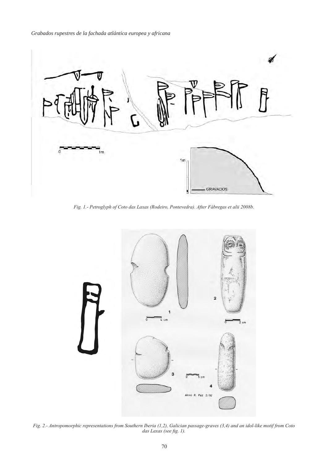*Grabados rupestres de la fachada atlántica europea y africana*



*Fig. 1.- Petroglyph of Coto das Laxas (Rodeiro, Pontevedra). After Fábregas et alii 2008b.*



*Fig. 2.- Antropomorphic representations from Southern Iberia (1,2), Galician passage-graves (3,4) and an idol-like motif from Coto das Laxas (see fig. 1).*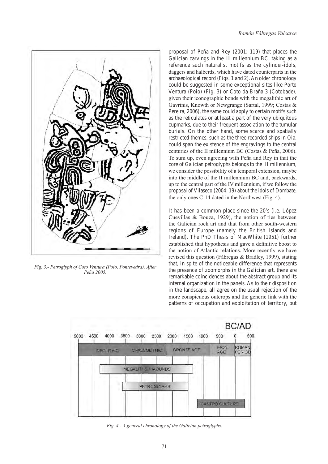

*Fig. 3.- Petroglyph of Coto Ventura (Poio, Pontevedra). After Peña 2005.*

proposal of Peña and Rey (2001: 119) that places the Galician carvings in the III millennium BC, taking as a reference such naturalist motifs as the cylinder-idols, daggers and halberds, which have dated counterparts in the archaeological record (Figs. 1 and 2). An older chronology could be suggested in some exceptional sites like Porto Ventura (Poio) (Fig. 3) or Coto da Braña 3 (Cotobade), given their iconographic bonds with the megalithic art of Gavrinis, Knowth or Newgrange (Sartal, 1999; Costas & Pereira, 2006), the same could apply to certain motifs such as the reticulates or at least a part of the very ubiquitous cupmarks, due to their frequent association to the tumular burials. On the other hand, some scarce and spatially restricted themes, such as the three recorded ships in Oia, could span the existence of the engravings to the central centuries of the II millennium BC (Costas & Peña, 2006). To sum up, even agreeing with Peña and Rey in that the core of Galician petroglyphs belongs to the III millennium, we consider the possibility of a temporal extension, maybe into the middle of the II millennium BC and, backwards, up to the central part of the IV millennium, if we follow the proposal of Vilaseco (2004: 19) about the idols of Dombate, the only ones C-14 dated in the Northwest (Fig. 4).

It has been a common place since the 20's (i.e. López Cuevillas & Bouza, 1929), the notion of ties between the Galician rock art and that from other south-western regions of Europe (namely the British Islands and Ireland). The PhD Thesis of MacWhite (1951) further established that hypothesis and gave a definitive boost to the notion of Atlantic relations. More recently we have revised this question (Fábregas & Bradley, 1999), stating that, in spite of the noticeable difference that represents the presence of zoomorphs in the Galician art, there are remarkable coincidences about the abstract group and its internal organization in the panels. As to their disposition in the landscape, all agree on the usual rejection of the more conspicuous outcrops and the generic link with the patterns of occupation and exploitation of territory, but



*Fig. 4.- A general chronology of the Galician petroglyphs.*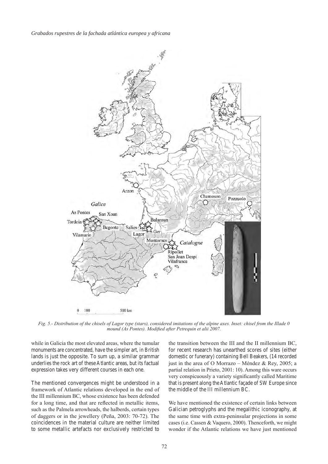

*Fig. 5.- Distribution of the chisels of Lagor type (stars), considered imitations of the alpine axes. Inset: chisel from the Illade 0 mound (As Pontes). Modified after Petrequin et alii 2007.*

while in Galicia the most elevated areas, where the tumular monuments are concentrated, have the simpler art, in British lands is just the opposite. To sum up, a similar grammar underlies the rock art of these Atlantic areas, but its factual expression takes very different courses in each one.

The mentioned convergences might be understood in a framework of Atlantic relations developed in the end of the III millennium BC, whose existence has been defended for a long time, and that are reflected in metallic items, such as the Palmela arrowheads, the halberds, certain types of daggers or in the jewellery (Peña, 2003: 70-72). The coincidences in the material culture are neither limited to some metallic artefacts nor exclusively restricted to

the transition between the III and the II millennium BC, for recent research has unearthed scores of sites (either domestic or funerary) containing Bell Beakers, (14 recorded just in the area of O Morrazo – Méndez & Rey, 2005; a partial relation in Prieto, 2001: 10). Among this ware occurs very conspicuously a variety significantly called Maritime that is present along the Atlantic façade of SW Europe since the middle of the III millennium BC.

We have mentioned the existence of certain links between Galician petroglyphs and the megalithic iconography, at the same time with extra-peninsular projections in some cases (i.e. Cassen & Vaquero, 2000). Thenceforth, we might wonder if the Atlantic relations we have just mentioned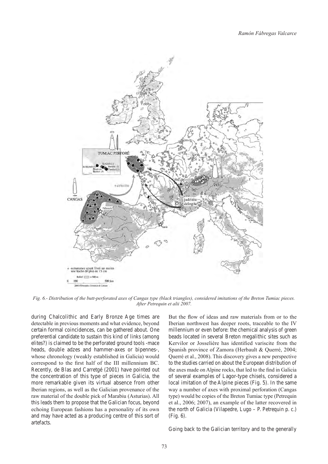

*Fig. 6.- Distribution of the butt-perforated axes of Cangas type (black triangles), considered imitations of the Breton Tumiac pieces. After Petrequin et alii 2007.*

during Chalcolithic and Early Bronze Age times are detectable in previous moments and what evidence, beyond certain formal coincidences, can be gathered about. One preferential candidate to sustain this kind of links (among elites?) is claimed to be the perforated ground tools -mace heads, double adzes and hammer-axes or bipennes-, whose chronology (weakly established in Galicia) would correspond to the first half of the III millennium BC. Recently, de Blas and Carretgé (2001) have pointed out the concentration of this type of pieces in Galicia, the more remarkable given its virtual absence from other Iberian regions, as well as the Galician provenance of the raw material of the double pick of Marabiu (Asturias). All this leads them to propose that the Galician focus, beyond echoing European fashions has a personality of its own and may have acted as a producing centre of this sort of artefacts.

But the flow of ideas and raw materials from or to the Iberian northwest has deeper roots, traceable to the IV millennium or even before: the chemical analysis of green beads located in several Breton megalithic sites such as Kervilor or Josselière has identified variscite from the Spanish province of Zamora (Herbault & Querré, 2004; Querré et al., 2008). This discovery gives a new perspective to the studies carried on about the European distribution of the axes made on Alpine rocks, that led to the find in Galicia of several examples of Lagor-type chisels, considered a local imitation of the Alpine pieces (Fig. 5). In the same way a number of axes with proximal perforation (Cangas type) would be copies of the Breton Tumiac type (Petrequin et al., 2006; 2007), an example of the latter recovered in the north of Galicia (Vilapedre, Lugo – P. Petrequin p. c.) (Fig. 6).

Going back to the Galician territory and to the generally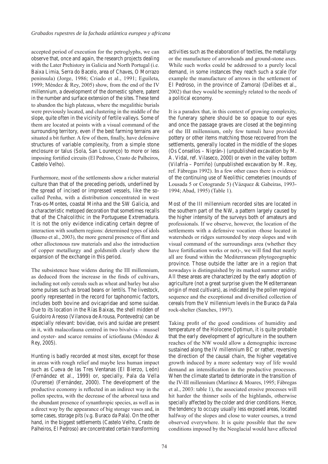accepted period of execution for the petroglyphs, we can observe that, once and again, the research projects dealing with the Later Prehistory in Galicia and North Portugal (i.e. Baixa Limia, Serra do Bacelo, area of Chaves, O Morrazo peninsula) (Jorge, 1986; Criado et al., 1991; Eguileta, 1999; Méndez & Rey, 2005) show, from the end of the IV millennium, a development of the domestic sphere, patent in the number and surface extension of the sites. These tend to abandon the high plateaus, where the megalithic burials were previously located, and clustering in the middle of the slope, quite often in the vicinity of fertile valleys. Some of them are located at points with a visual command of the surrounding territory, even if the best farming terrains are situated a bit further. A few of them, finally, have defensive structures of variable complexity, from a simple stone enclosure or talus (Sola, San Lourenço) to more or less imposing fortified circuits (El Pedroso, Crasto de Palheiros, Castelo Velho).

Furthermore, most of the settlements show a richer material culture than that of the preceding periods, underlined by the spread of incised or impressed vessels, like the socalled Penha, with a distribution concentrated in west Tras-os-Montes, coastal Minha and the SW Galicia, and a characteristic metoped decoration that sometimes recalls that of the Chalcolithic in the Portuguese Extremadura. It is not the only evidence indicating certain degree of interaction with southern regions: determined types of idols (Bueno et al., 2003), the more general presence of flint and other alloctonous raw materials and also the introduction of copper metallurgy and goldsmith clearly show the expansion of the exchange in this period.

The subsistence base widens during the III millennium, as deduced from the increase in the finds of cultivars, including not only cereals such as wheat and barley but also some pulses such as broad beans or lentils. The livestock, poorly represented in the record for taphonomic factors, includes both bovine and ovicapridae and some suidae. Due to its location in the Rías Baixas, the shell midden of Guidoiro Areoso (Vilanova de Arousa, Pontevedra) can be especially relevant: bovidae, ovis and suidae are present in it, with malacofauna centred in two bivalvia – mussel and oyster- and scarce remains of ictiofauna (Méndez & Rey, 2005).

Hunting is badly recorded at most sites, except for those in areas with rough relief and maybe less human impact such as Cueva de las Tres Ventanas (El Bierzo, León) (Fernández et al., 1999) or, specially, Pala da Vella (Ourense) (Fernández, 2000). The development of the productive economy is reflected in an indirect way in the pollen spectra, with the decrease of the arboreal taxa and the abundant presence of synanthropic species, as well as in a direct way by the appearance of big storage vases and, in some cases, storage pits (v.g. Buraco da Pala). On the other hand, in the biggest settlements (Castelo Velho, Crasto de Palheiros, El Pedroso) are concentrated certain transforming activities such as the elaboration of textiles, the metallurgy or the manufacture of arrowheads and ground-stone axes. While such works could be addressed to a purely local demand, in some instances they reach such a scale (for example the manufacture of arrows in the settlement of El Pedroso, in the province of Zamora) (Delibes et al., 2002) that they would be seemingly related to the needs of a political economy.

It is a paradox that, in this context of growing complexity, the funerary sphere should be so opaque to our eyes and once the passage graves are closed at the beginning of the III millennium, only few tumuli have provided pottery or other items matching those recovered from the settlements, generally located in the middle of the slopes (Os Consellos – Nigrán-) (unpublished excavation by M. A. Vidal, ref. Vilaseco, 2000) or even in the valley bottom (Vilafría – Porriño) (unpublished excavation by M. Rey, ref. Fábregas 1992). In a few other cases there is evidence of the continuing use of Neolithic cemeteries (mounds of Lousada 5 or Cotogrande 5) (Vázquez & Gabeiras, 1993- 1994; Abad, 1995) (Table 1).

Most of the III millennium recorded sites are located in the southern part of the NW, a pattern largely caused by the higher intensity of the surveys both of amateurs and professionals. If we observe, however, the location of the settlements with a defensive vocation -those located in watersheds or ridges surrounded by steep slopes and with visual command of the surroundings area (whether they have fortification works or not)-, we will find that nearly all are found within the Mediterranean phytogeographic province. Those outside the latter are in a region that nowadays is distinguished by its marked summer aridity. All these areas are characterized by the early adoption of agriculture (not a great surprise given the Mediterranean origin of most cultivars), as indicated by the pollen regional sequence and the exceptional and diversified collection of cereals from the V millennium levels in the Buraco da Pala rock-shelter (Sanches, 1997).

Taking profit of the good conditions of humidity and temperature of the Holocene Optimun, it is quite probable that the early development of agriculture in the southern reaches of the NW would allow a demographic increase sustained along the IV millennium BC or rather, reversing the direction of the causal chain, the higher vegetative growth induced by a more sedentary way of life would demand an intensification in the productive processes. When the climate started to deteriorate in the transition of the IV-III millennium (Martínez & Moares, 1995; Fábregas et al., 2003: table 1), the associated erosive processes will hit harder the thinner soils of the highlands, otherwise specially affected by the colder and drier conditions. Hence, the tendency to occupy usually less exposed areas, located halfway of the slopes and close to water courses, a trend observed everywhere. It is quite possible that the new conditions imposed by the Neoglacial would have affected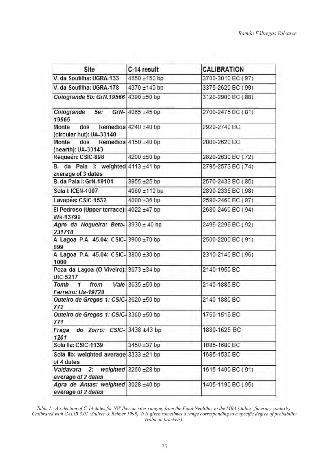| Site                                                         | C-14 result               | <b>CALIBRATION</b> |
|--------------------------------------------------------------|---------------------------|--------------------|
| V. da Soutilha: UGRA-133                                     | 4650 ±150 bp              | 3700-3010 BC (.97) |
| V. da Soutilha: UGRA-178                                     | 4370 ±140 bp              | 3375-2620 BC (.99) |
| Cotogrande 5b: GrN.19566                                     | 4390 ±50 bp               | 3120-2900 BC (.88) |
| Cotogrande 5a: GrN-<br>19565                                 | $4065 \pm 45$ bp          | 2700-2475 BC (.81) |
| Monte dos<br>(circular hut): UA-33140                        | Remedios $4240 \pm 40$ bp | 2920-2740 BC       |
| $d$ os<br>Monte<br>(hearth): UA-33143                        | Remedios $4150 \pm 40$ bp | 2880-2620 BC       |
| Requeán: CSIC-898                                            | 4200 ±50 bp               | 2820-2630 BC (.72) |
| B. da Pala I: weighted 4113 ±41 bp<br>average of 3 dates     |                           | 2795-2573 BC (.74) |
| B. da Pala I: GrN-19101                                      | 3955 ±25 bp               | 2570-2433 BC (.85) |
| Sola I: ICEN-1007                                            | 4060 ±110 bp              | 2890-2335 BC (.98) |
| Lavapés: CSIC-1532                                           | 4000 ±36 bp               | 2590-2460 BC (.97) |
| El Pedroso (Upper terrace): 4022 ±47 bp<br>Wk-13799          |                           | 2680-2460 BC (.94) |
| Agro da Nogueira: Beta- 3930 ± 40 bp<br>231718               |                           | 2495-2295 BC (.92) |
| A Lagoa P.A. 45.04: CSIC-3900 ±70 bp<br>899                  |                           | 2500-2200 BC (.91) |
| A Lagoa P.A. 45.04: CSIC-3800 ±30 bp<br>1000                 |                           | 2310-2140 BC (.96) |
| Poza da Lagoa (O Viveiro): 3673 ±34 bp<br>UtC-5217           |                           | 2140-1950 BC       |
| Tomb <sub>1</sub><br>from<br>Ferreiro: Ua-19728              | Vale 3635 $±50$ bp        | 2140-1885 BC       |
| Outeiro de Gregos 1: CSIC-3620 ±50 bp<br>772                 |                           | 2140-1880 BC       |
| Outeiro de Gregos 1: CSIC-3360 ±50 bp<br>771                 |                           | 1760-1515 BC       |
| Fraga do Zorro: CSIC-3438 ±43 bp<br>1201                     |                           | 1880-1625 BC       |
| Sola Ila: CSIC-1139                                          | 3450 ±37 bp               | 1885-1680 BC       |
| Sola lib: weighted average $3333 \pm 21$ bp<br>of 4 dates    |                           | 1685-1530 BC       |
| Valdavara 2: weighted $3260 \pm 28$ bp<br>average of 2 dates |                           | 1615-1490 BC (.91) |
| Agra de Antas: weighted 3028 ±40 bp<br>average of 2 dates    |                           | 1405-1190 BC (.95) |

*Table 1.- A selection of C-14 dates for NW Iberian sites ranging from the Final Neolithic to the MBA (italics: funerary contexts). Calibrated with CALIB 5.01 (Stuiver & Reimer 1998). It is given sometimes a range corresponding to a specific degree of probability (value in brackets).*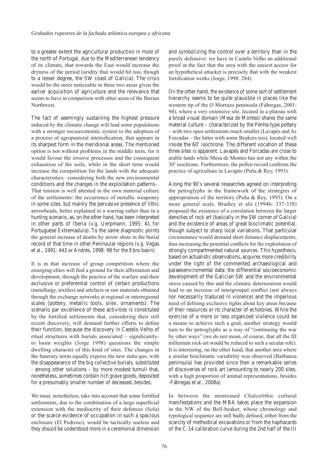to a greater extent the agricultural production in most of the north of Portugal, due to the Mediterranean tendency of its climate, that towards the East would increase the dryness of the period (aridity that would hit too, though to a lesser degree, the SW coast of Galicia). The crisis would be the more noticeable in these two areas given the earlier acquisition of agriculture and the relevance that seems to have in comparison with other areas of the Iberian Northwest.

The fact of seemingly sustaining the highest pressure induced by the climatic change will lead some populations with a stronger socioeconomic system to the adoption of a process of agropastoral intensification, that appears in its sharpest form in the meridional areas. The mentioned option is not without problems in the middle term, for it would favour the erosive processes and the consequent exhaustion of the soils, while in the short term would increase the competition for the lands with the adequate characteristics –considering both the new environmental conditions and the changes in the exploitation patterns–. That tension is well attested in the own material culture of the settlements: the occurrence of metallic weaponry in some sites, but mainly the pervasive presence of lithic arrowheads, better explained in a warring rather than in a hunting scenario, as, on the other hand, has been interpreted in other parts of Iberia (v.g. Uerpmann, 1995: 41 for Portuguese Extremadura). To the same diagnostic points the general increase of deaths by arrow shots in the burial record of that time in other Peninsular regions (v.g. Vegas et al., 1991: 443 or Andrés, 1998: 98 for the Ebro basin).

It is in that increase of group competition where the emerging elites will find a ground for their affirmation and development, through the practice of the warfare and their exclusive or preferential control of certain productions (metallurgy, textiles) and artefacts or raw materials obtained through the exchange networks at regional or interregional scales (pottery, metallic tools, silex, ornaments). The scenario par excellence of these activities is constituted by the fortified settlements that, considering their still recent discovery, will demand further efforts to define their function, because the discovery in Castelo Velho of ritual structures with burials associated – significantlyto loom weights (Jorge 1998) questions the simple dwelling character of this kind of sites. The changes in the funerary norm equally express the new statu quo, with the disappearance of the big collective burials, substituted - among other solutions – by more modest tumuli that, nonetheless, sometimes contain rich grave goods, deposited for a presumably smaller number of deceased, besides.

We must, nonetheless, take into account that some fortified settlements, due to the combination of a large superficial extension with the mediocrity of their defences (Sola) or the scarce evidence of occupation in such a spacious enclosure (El Pedroso), would be tactically useless and they should be understood more in a ceremonial dimension and symbolizing the control over a territory than in the purely defensive: we have in Castelo Velho an additional proof in the fact that the area with the easiest access for an hypothetical attacker is precisely that with the weakest fortification works (Jorge, 1998: 284).

On the other hand, the existence of some sort of settlement hierarchy seems to be quite plausible in places like the western tip of the O Morrazo peninsula (Fábregas, 2001: 94), where a very extensive site, located in a plateau with a broad visual domain (Mesa de Montes) shares the same material culture – characterized by the Penha-type pottery – with two open settlements much smaller (Lavapés and As Forcadas – the latter with some Beakers too), located well inside the 60' isochrone. The different vocation of these three sites is apparent: Lavapés and Forcadas are close to arable lands while Mesa de Montes has not any within the 30' isochrone. Furthermore, the pollen record confirms the practice of agriculture in Lavapés (Peña & Rey, 1993).

Along the 90's several researches agreed on interpreting the petroglyphs in the framework of the strategies of appropriation of the territory (Peña & Rey, 1993). On a more general scale, Bradley et alii (1994b: 337-338) proposed the existence of a correlation between the larger densities of rock art (basically in the SW corner of Galicia) and the existence of areas of great bioclimatic potential, though subject to sharp local variations. That particular circumstance would demand short distance displacements, thus increasing the potential conflicts for the exploitation of strongly compartmented natural sources. This hypothesis, based on actualistic observations, acquires more credibility under the light of the commented archaeological and palaeoenviromental data: the differential socioeconomic development of the Galician SW and the environmental stress caused by this and the climatic deterioration would lead to an increase of intergroupal conflict (not always nor necessarily traduced in violence) and the imperious need of defining exclusive rights about key areas because of their resources or its character of echotones. While the exercise of a more or less organized violence could be a means to achieve such a goal, another strategy would turn to the petroglyphs as a way of "continuing the war by other ways" (we do not mean, of course, that all the III millenium rock-art would be reduced to such a secular role). It is interesting, on the other hand, that another area where a similar bioclimatic variability was observed (Barbanza peninsula) has provided since then a remarkable series of discoveries of rock art (amounting to nearly 200 sites, with a high proportion of animal representations, besides -Fábregas et al., 2008a).

In between the mentioned Chalcolithic cultural manifestations and the MBA takes place the expansion in the NW of the Bell-beaker, whose chronology and typological sequence are still badly defined, either from the scarcity of methodical excavations or from the haphazards of the C-14 calibration curve during the 2nd half of the III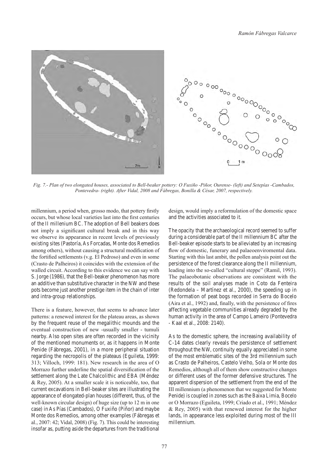

*Fig. 7.- Plan of two elongated houses, associated to Bell-beaker pottery: O Fuxiño -Piñor, Ourense- (left) and Setepías -Cambados, Pontevedra- (right). After Vidal, 2008 and Fábregas, Bonilla & César, 2007, respectively.*

millennium, a period when, grosso modo, that pottery firstly occurs, but whose local varieties last into the first centuries of the II millenium BC. The adoption of Bell beakers does not imply a significant cultural break and in this way we observe its appearance in recent levels of previously existing sites (Pastoría, As Forcadas, Monte dos Remedios among others), without causing a structural modification of the fortified settlements (v.g. El Pedroso) and even in some (Crasto de Palheiros) it coincides with the extension of the walled circuit. According to this evidence we can say with S. Jorge (1986), that the Bell-beaker phenomenon has more an additive than substitutive character in the NW and these pots become just another prestige item in the chain of inter and intra-group relationships.

There is a feature, however, that seems to advance later patterns: a renewed interest for the plateau areas, as shown by the frequent reuse of the megalithic mounds and the eventual construction of new -usually smaller - tumuli nearby. Also open sites are often recorded in the vicinity of the mentioned monuments or, as it happens in Monte Penide (Fábregas, 2001), in a more peripheral situation regarding the necropolis of the plateaus (Eguileta, 1999: 313; Villoch, 1999: 181). New research in the area of O Morrazo further underline the spatial diversification of the settlement along the Late Chalcolithic and EBA (Méndez & Rey, 2005). At a smaller scale it is noticeable, too, that current excavations in Bell-beaker sites are illustrating the appearance of elongated-plan houses (different, thus, of the well-known circular design) of huge size (up to 12 m in one case) in As Pías (Cambados), O Fuxiño (Piñor) and maybe Monte dos Remedios, among other examples (Fábregas et al., 2007: 42; Vidal, 2008) (Fig. 7). This could be interesting insofar as, putting aside the departures from the traditional design, would imply a reformulation of the domestic space and the activities associated to it.

The opacity that the archaeological record seemed to suffer during a considerable part of the II millennium BC after the Bell-beaker episode starts to be alleviated by an increasing flow of domestic, funerary and palaeoenviromental data. Starting with this last ambit, the pollen analysis point out the persistence of the forest clearance along the II millennium, leading into the so-called "cultural steppe" (Ramil, 1993). The palaeobotanic observations are consistent with the results of the soil analyses made in Coto da Fenteira (Redondela – Martínez et al., 2000), the speeding up in the formation of peat bogs recorded in Serra do Bocelo (Aira et al., 1992) and, finally, with the persistence of fires affecting vegetable communities already degraded by the human activity in the area of Campo Lameiro (Pontevedra - Kaal et al., 2008: 2140).

As to the domestic sphere, the increasing availability of C-14 dates clearly reveals the persistence of settlement throughout the NW, continuity equally appreciated in some of the most emblematic sites of the 3rd millennium such as Crasto de Palheiros, Castelo Velho, Sola or Monte dos Remedios, although all of them show constructive changes or different uses of the former defensive structures. The apparent dispersion of the settlement from the end of the III millennium (a phenomenon that we suggested for Monte Penide) is coupled in zones such as the Baixa Limia, Bocelo or O Morrazo (Eguileta, 1999; Criado et al., 1991; Méndez & Rey, 2005) with that renewed interest for the higher lands, in appearance less exploited during most of the III millennium.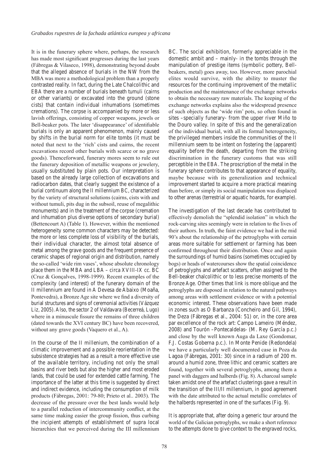It is in the funerary sphere where, perhaps, the research has made most significant progresses during the last years (Fábregas & Vilaseco, 1998), demonstrating beyond doubt that the alleged absence of burials in the NW from the MBA was more a methodological problem than a properly contrasted reality. In fact, during the Late Chalcolithic and EBA there are a number of burials beneath tumuli (cairns or other variants) or excavated into the ground (stone cists) that contain individual inhumations (sometimes cremations). The corpse is accompanied by more or less lavish offerings, consisting of copper weapons, jewels or Bell-beaker pots. The later 'disappearance' of identifiable burials is only an apparent phenomenon, mainly caused by shifts in the burial norm for elite tombs (it must be noted that next to the 'rich' cists and cairns, the recent excavations record other burials with scarce or no grave goods). Thenceforward, funerary mores seem to rule out the funerary deposition of metallic weapons or jewelery, usually substituted by plain pots. Our interpretation is based on the already large collection of excavations and radiocarbon dates, that clearly suggest the existence of a burial continuum along the II millennium BC, characterized by the variety of structural solutions (cairns, cists with and without tumuli, pits dug in the subsoil, reuse of megalithic monuments) and in the treatment of the corpse (cremation and inhumation plus diverse options of secondary burial) (Bettencourt A) (Table 1). However, within the mentioned heterogeneity some common characters may be detected: the more or less complete loss of visibility of the burials, their individual character, the almost total absence of metal among the grave goods and the frequent presence of ceramic shapes of regional origin and distribution, namely the so-called 'wide rim vases', whose absolute chronology place them in the MBA and LBA – circa XVIII-IX cc. BC (Cruz & Gonçalves, 1998-1999). Recent examples of the complexity (and interest) of the funerary domain of the II millennium are found in A Devesa de Abaixo (Moaña, Pontevedra), a Bronze Age site where we find a diversity of burial structures and signs of ceremonial activities (Vázquez Liz, 2005). Also, the sector 2 of Valdavara (Becerreá, Lugo) where in a minuscule fissure the remains of three children (dated towards the XVI century BC) have been recovered, without any grave goods (Vaquero et al., A).

In the course of the II millenium, the combination of a climatic improvement and a possible reorientation in the subsistence strategies had as a result a more effective use of the available territory, including not only the small basins and river beds but also the higher and most eroded lands, that could be used for extended cattle farming. The importance of the latter at this time is suggested by direct and indirect evidence, including the consumption of milk products (Fábregas, 2001: 79-80; Prieto et al.. 2003). The decrease of the pressure over the best lands would help to a parallel reduction of intercommunity conflict, at the same time making easier the group fission, thus curbing the incipient attempts of establishment of supra local hierarchies that we perceived during the III millennium BC. The social exhibition, formerly appreciable in the domestic ambit and – mainly- in the tombs through the manipulation of prestige items (symbolic pottery, Bellbeakers, metal) goes away, too. However, more parochial elites would survive, with the ability to muster the resources for the continuing improvement of the metallic production and the maintenance of the exchange networks to obtain the necessary raw materials. The keeping of the exchange networks explains also the widespread presence of such objects as the 'wide rim' pots, so often found in sites –specially funerary- from the upper river Miño to the Douro valley. In spite of this and the generalization of the individual burial, with all its formal heterogeneity, the privileged members inside the communities of the II millennium seem to be intent on fostering the (apparent) equality before the death, departing from the striking discrimination in the funerary customs that was still perceptible in the EBA. The proscription of the metal in the funerary sphere contributes to that appearance of equality, maybe because with its generalization and technical improvement started to acquire a more practical meaning than before, or simply its social manipulation was displaced to other arenas (terrestrial or aquatic hoards, for example).

The investigation of the last decade has contributed to effectively demolish the "splendid isolation" in which the rock-carving sites seemingly were in relation to the lives of their authors. In truth, the faint evidence we had in the mid 90's about the relationship of the petroglyphs with certain areas more suitable for settlement or farming has been confirmed throughout their distribution. Once and again the surroundings of humid basins (sometimes occupied by bogs) or heads of watercourses show the spatial coincidence of petroglyphs and artefact scatters, often assigned to the Bell-beaker chalcolithic or to less precise moments of the Bronze Age. Other times that link is more oblique and the petroglyphs are disposed in relation to the natural pathways among areas with settlement evidence or with a potential economic interest. These observations have been made in zones such as O Barbanza (Concheiro and Gil, 1994), the Deza (Fábregas et al., 2004: 51) or, in the core area par excellence of the rock art: Campo Lameiro (Méndez, 2008) and Tourón –Pontecaldelas- (M. Rey García p.c.) and close by the well known Auga da Laxe (Gondomar, F.J. Costas Goberna p.c.). In Monte Penide (Redondela) we have a particularly well documented case in Poza da Lagoa (Fábregas, 2001: 30) since in a radium of 200 m. around a humid zone, three lithic and ceramic scatters are found, together with several petroglyphs, among them a panel with daggers and halberds (Fig. 8). A charcoal sample taken amidst one of the artefact clusterings gave a result in the transition of the III/II millennium, in good agreement with the date attributed to the actual metallic correlates of the halberds represented in one of the surfaces (Fig. 9).

It is appropriate that, after doing a generic tour around the world of the Galician petroglyphs, we make a short reference to the attempts done to give context to the engraved rocks,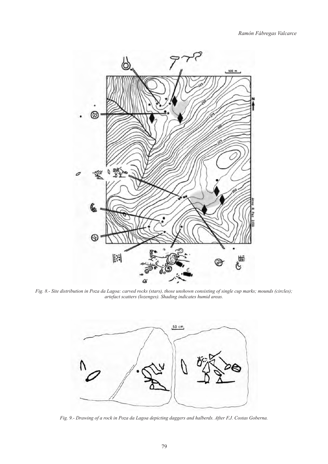

*Fig. 8.- Site distribution in Poza da Lagoa: carved rocks (stars), those unshown consisting of single cup marks; mounds (circles); artefact scatters (lozenges). Shading indicates humid areas.*



*Fig. 9.- Drawing of a rock in Poza da Lagoa depicting daggers and halberds. After F.J. Costas Goberna.*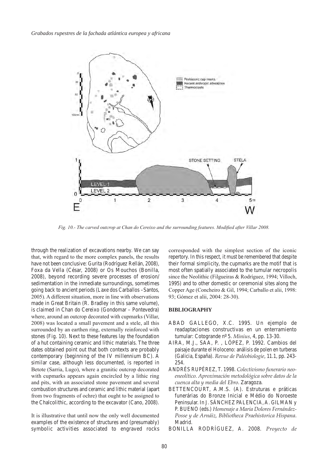

*Fig. 10.- The carved outcrop at Chan do Cereixo and the surrounding features. Modified after Villar 2008.*

through the realization of excavations nearby. We can say that, with regard to the more complex panels, the results have not been conclusive: Gurita (Rodríguez Rellán, 2008), Foxa da Vella (César, 2008) or Os Mouchos (Bonilla, 2008), beyond recording severe processes of erosion/ sedimentation in the inmediate surroundings, sometimes going back to ancient periods (Laxe dos Carballos –Santos, 2005). A different situation, more in line with observations made in Great Britain (R. Bradley in this same volume), is claimed in Chan do Cereixo (Gondomar – Pontevedra) where, around an outcrop decorated with cupmarks (Villar, 2008) was located a small pavement and a stele, all this surrounded by an earthen ring, externally reinforced with stones (Fig. 10). Next to these features lay the foundation of a hut containing ceramic and lithic materials. The three dates obtained point out that both contexts are probably contemporary (beginning of the IV millennium BC). A similar case, although less documented, is reported in Betote (Sarria, Lugo), where a granitic outcrop decorated with cupmarks appears again encircled by a lithic ring and pits, with an associated stone pavement and several combustion structures and ceramic and lithic material (apart from two fragments of ochre) that ought to be assigned to the Chalcolithic, according to the excavator (Cano, 2008).

It is illustrative that until now the only well documented examples of the existence of structures and (presumably) symbolic activities associated to engraved rocks corresponded with the simplest section of the iconic repertory. In this respect, it must be remembered that despite their formal simplicity, the cupmarks are the motif that is most often spatially associated to the tumular necropolis since the Neolithic (Filgueiras & Rodríguez, 1994; Villoch, 1995) and to other domestic or ceremonial sites along the Copper Age (Concheiro & Gil, 1994; Carballo et alii, 1998: 93; Gómez et alii, 2004: 28-30).

#### **BIBLIOGRAPHY**

- ABAD GALLEGO, X.C. 1995. Un ejemplo de readaptaciones constructivas en un enterramiento tumular: Cotogrande nº 5. *Minius*, 4, pp. 13-30.
- AIRA, M.J., SAA, P., LÓPEZ, P. 1992. Cambios del paisaje durante el Holoceno: análisis de polen en turberas (Galicia, España). *Revue de Paléobiologie*, 11.1, pp. 243- 254.
- Andrés Rupérez , T. 1998. *Colectivismo funerario neoeneolítico. Aproximación metodológica sobre datos de la cuenca alta y media del Ebro*. Zaragoza.
- BETTENCOURT, A.M.S. (A). Estruturas e práticas funerárias do Bronze Inicial e Médio do Noroeste Peninsular. In J. SÁNCHEZ PALENCIA, A. GILMAN y P. BUENO (eds.) Homenaje a Maria Dolores Fernández-*Posse y de Arnáiz, Bibliotheca Praehistorica Hispana*. Madrid.
- BONILLA RODRÍGUEZ, A. 2008. Proyecto de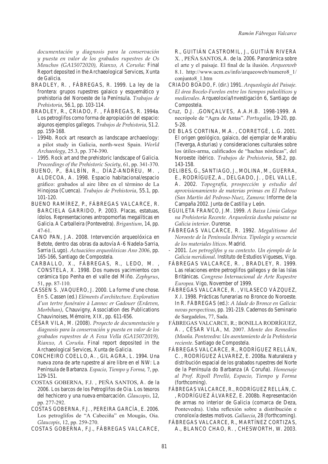*documentación y diagnosis para la conservación y puesta en valor de los grabados rupestres de Os Mouchos (GA15072020), Rianxo, A Coruña:* Final Report deposited in the Archaeological Services, Xunta de Galicia.

- BRADLEY, R., FÁBREGAS, R. 1999. La ley de la frontera: grupos rupestres galaico y esquemático y prehistoria del Noroeste de la Península. *Trabajos de Prehistoria*, 56.1, pp. 103-114.
- BRADLEY, R., CRIADO, F., FÁBREGAS, R. 1994a. Los petroglifos como forma de apropiación del espacio: algunos ejemplos gallegos. *Trabajos de Prehistoria*, 51.2. pp. 159-168.
- 1994b. Rock art research as landscape archaeology: a pilot study in Galicia, north-west Spain. *World Archaeology*, 25.3, pp. 374-390.
- 1995. Rock art and the prehistoric landscape of Galicia. *Proceedings of the Prehistoric Society*, 61, pp. 341-370.
- BUENO, P., BALBÍN, R., DÍAZ-ANDREU, M., ALDECOA, A. 1998. Espacio habitacional/espacio gráfico: grabados al aire libre en el término de La Hinojosa (Cuenca). *Trabajos de Prehistoria*, 55.1, pp. 101-120.
- BUENO RAMÍREZ, P., FÁBREGAS VALCARCE, R. BARCIELA GARRIDO, P. 2003. Placas, estatuas, ídolos. Representaciones antropomorfas megalíticas en Galicia. A Carballeira (Pontevedra). *Brigantium*, 14, pp. 47-61.
- CANO PAN, J.A. 2008. Intervención arqueolóxica en Betote, dentro das obras da autovía A-6 Nadela-Sarria, Sarria (Lugo). *Actuacións arqueolóxicas Ano 2006*, pp. 165-166, Santiago de Compostela.
- CARBALLO, X., FÁBREGAS, R., LEDO, M., Constela , X. 1998. Dos nuevos yacimientos con cerámica tipo Penha en el valle del Miño. *Zephyrus*, 51, pp. 87-110.
- Cassen S. ,Vaquero, J. 2000. La forme d'une chose. En S. Cassen (ed.) *Eléments d'architecture. Exploration d'un tertre funéraire à Lannec er Gadouer (Erdeven, Morbihan)*, Chauvigny, Association des Publications Chauvinoises, Mémoire, XIX, pp. 611-656.
- César Vila , M. (2008). *Proyecto de documentación y diagnosis para la conservación y puesta en valor de los grabados rupestres de A Foxa Vella (GA15072019), Rianxo, A Coruña*. Final report deposited in the Archaeological Services, Xunta de Galicia.
- CONCHEIRO COELLO, A., GIL AGRA, L. 1994. Una nueva zona de arte rupestre al aire libre en el NW: La Península de Barbanza. *Espacio, Tiempo y Forma,* 7, pp. 129-151.
- COSTAS GOBERNA, F.J., PEÑA SANTOS, A. de la 2006. Los barcos de los Petroglifos de Oia. Los tesoros del hechicero y una nueva embarcación. *Glaucopis*, 12, pp. 277-292.
- Costas Goberna , F.J. , Pereira García , E. 2006. Los petroglifos de "A Cabeciña" en Mougás, Oia. *Glaucopis*, 12, pp. 259-270.

COSTAS GOBERNA, F.J., FÁBREGAS VALCARCE,

R., GUITIÁN CASTROMIL, J., GUITIÁN RIVERA X. , Peña Santos, A. de la. 2006. Panorámica sobre el arte y el paisaje. El final de la ilusión. *Arqueoweb* 8.1. http://www.ucm.es/info/arqueoweb/numero8\_1/ conjunto8\_1.htm

- Criado Boado , F. (dir.) 1991. *Arqueología del Paisaje. El área Bocelo-Furelos entre los tiempos paleolíticos y medievales*. Arqueoloxía/Investigación 6, Santiago de Compostela.
- Cruz, D.J. ,GONÇALVES, A.A.H.B. 1998-1999. A necrópole de "Agra de Antas". *Portugalia*, 19-20, pp. 5-28.
- DE BLAS CORTINA, M.A., CORRETGÉ, L.G. 2001. El origen geológico, galaico, del ejemplar de Marabiu (Teverga, Asturias) y consideraciones culturales sobre los útiles-arma, calificados de "hachas nórdicas", del Noroeste ibérico. *Trabajos de Prehistoria*, 58.2, pp. 143-158.
- Delibes, G., Santiago, J., Molina, M., Guerra, E., RODRÍGUEZ, A., DELGADO, J., DEL VALLE, A. 2002. *Topografía, prospección y estudio del aprovisionamiento de materias primas en El Pedroso (San Martín del Pedroso-Nuez, Zamora:* Informe de la Campaña 2002. Junta de Castilla y León.
- Eguileta Franco, J.M. 1999. *A Baixa Limia Galega na Prehistoria Recente. Arqueoloxía dunha paisaxe na Galicia interior*. Ourense.
- Fábregas Valcarce , R. 1992. *Megalitismo del Noroeste de la Península Ibérica. Tipología y secuencia de los materiales líticos*. Madrid.
- 2001. *Los petroglifos y su contexto. Un ejemplo de la Galicia meridional*. Instituto de Estudios Vigueses, Vigo.
- FÁBREGAS VALCARCE, R., BRADLEY, R. 1999. Las relaciones entre petroglifos gallegos y de las Islas Británicas. *Congreso Internacional de Arte Rupestre Europea.* Vigo, November of 1999.
- Fábregas Valcarce, R. , Vilaseco Vázquez, X.I. 1998. Prácticas funerarias no Bronce do Noroeste*.* In R. Fábregas (ed.): *A Idade do Bronce en Galicia: novas perspectivas,* pp. 191-219. Cadernos do Seminario de Sargadelos, 77, Sada.
- Fábregas Valcarce, R.; Bonilla Rodríguez, A., CÉSAR VILA, M. 2007. Monte dos Remedios *(Moaña. Pontevedra: Un asentamiento de la Prehistoria reciente*. Santiago de Compostela.
- FÁBREGAS VALCARCE, R., RODRÍGUEZ RELLÁN, C., RODRÍGUEZ ÁLVAREZ, E. 2008a. Naturaleza y distribución espacial de los grabados rupestres del Norte de la Península do Barbanza (A Coruña). *Homenaje al Prof. Ripoll Perelló, Espacio, Tiempo y Forma* (forthcoming).
- FÁBREGAS VALCARCE, R., RODRÍGUEZ RELLÁN, C. , RODRÍGUEZ ÁLVAREZ, E. 2008b. Representación de armas no interior de Galicia (comarca de Deza, Pontevedra). Unha reflexión sobre a distribución e cronoloxía destes motivos. *Gallaecia*, 28 (forthcoming).
- Fábregas Valcarce, R., Martínez Cortizas, A., BLANCO CHAO, R., CHESWORTH, W. 2003.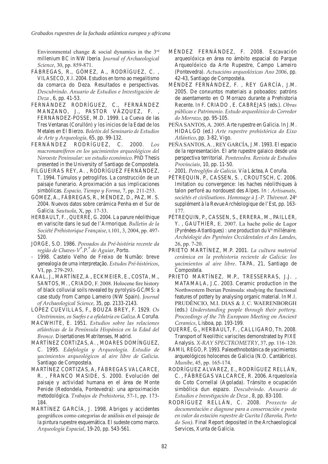Environmental change  $\&$  social dynamics in the  $3<sup>rd</sup>$ millenium BC in NW Iberia. *Journal of Archaeological Science*, 30, pp. 859-871.

- FÁBREGAS, R., GÓMEZ, A., RODRÍGUEZ, C., VILASECO, X.I. 2004. Estudios en torno ao megalitismo da comarca do Deza. Resultados e perspectivas. *Descubrindo. Anuario de Estudios e Investigación de Deza* , 6, pp. 41-53.
- FERNÁNDEZ RODRÍGUEZ, C., FERNÁNDEZ MANZANO, J., PASTOR VÁZQUEZ, F., FERNÁNDEZ-POSSE, M.D. 1999. La Cueva de las Tres Ventanas (Corullón) y los inicios de la Edad de los Metales en El Bierzo. *Boletín del Seminario de Estudios de Arte y Arqueología*, 65, pp. 99-132*.*
- FERNÁNDEZ RODRÍGUEZ, C. 2000. Los *macromamíferos en los yacimientos arqueológicos del Noroeste Peninsular: un estudio económico*. PhD Thesis presented in the University of Santiago de Compostela.
- FILGUEIRAS REY, A., RODRÍGUEZ FERNÁNDEZ, T. 1994. Túmulos y petroglifos. La construcción de un paisaje funerario. Aproximación a sus implicaciones simbólicas. *Espacio, Tiempo y Forma*, 7, pp. 211-253.
- Gómez, A., Fábregas, R., Méndez, D., Paz, M. S. 2004. Nuevos datos sobre cerámica Penha en el Sur de Galicia. *Sautuola*, X, pp. 17-33.
- HERBAULT, F., QUERRÉ, G. 2004. La parure néolithique en variscite dans le sud de l'Armorique. *Bulletin de la Société Préhistorique Française*, t.101, 3, 2004, pp. 497- 520.
- Jorge , S.O. 1986. *Povoados da Pré-história recente da regiâo de Chaves-Vª.P.ª de Aguiar*, Porto.
- 1998. Castelo Velho de Freixo de Numão: breve genealogia de uma interpretação. *Estudos Pré-históricos*, VI, pp. 279-293.
- KAAL, J., MARTÍNEZ, A., ECKMEIER, E., COSTA, M., SANTOS, M., CRIADO, F. 2008. Holocene fire history of black colluvial soils revealed by pyrolysis-GC/MS: a case study from Campo Lameiro (NW Spain). *Journal of Archaeological Science*, 35, pp. 2133-2143.
- LÓPEZ CUEVILLAS, F., BOUZA BREY, F. 1929. Os *Oestrimnios, os Saefes e a ofiolatría en Galiza*. A Coruña.
- Mac White , E. 1951. *Estudios sobre las relaciones atlánticas de la Península Hispánica en la Edad del Bronce*. Disertationes Matritenses, Madrid.
- Martínez Cortizas, A. , Moares Domínguez, C. 1995. *Edafología y Arqueología. Estudio de yacimientos arqueológicos al aire libre de Galicia*. Santiago de Compostela.
- MARTÍNEZ CORTIZAS, A, FÁBREGAS VALCARCE, R., FRANCO MASIDE, S. 2000. Evolución del paisaje y actividad humana en el área de Monte Penide (Redondela, Pontevedra): una aproximación metodológica. *Trabajos de Prehistoria*, 57-1, pp. 173- 184.
- MARTÍNEZ GARCÍA, J. 1998. Abrigos y accidentes geográficos como categorías de análisis en el paisaje de la pintura rupestre esquemática. El sudeste como marco. *Arqueología Espacial*, 19-20, pp. 543-561.
- MÉNDEZ FERNÁNDEZ, F. 2008. Escavación arqueolóxica en área no ámbito espacial do Parque Arqueolóxico da Arte Rupestre, Campo Lameiro (Pontevedra). *Actuacións arqueolóxicas Ano 2006*, pp. 42-43, Santiago de Compostela.
- MÉNDEZ FERNÁNDEZ, F., REY GARCÍA, J.M. 2005. De conxuntos materiais a poboados: patróns de asentamento en O Morrazo durante a Prehistoria Recente. In F. Criado , E. Cabrejas (eds.). *Obras públicas e Patrimonio. Estudo arqueolóxico do Corredor do Morrazo*, pp. 95-105.
- PEÑA SANTOS, A. 2005. Arte rupestre en Galicia. In J.M. Hidalgo (ed.) *Arte rupestre prehistórica do Eixo Atlántico*, pp. 3-82, Vigo.
- PEÑA SANTOS, A., REY GARCÍA, J.M. 1993. El espacio de la representación. El arte rupestre galaico desde una perspectiva territorial*. Pontevedra. Revista de Estudios Provinciais*, 10, pp. 11-50.
- 2001. *Petroglifos de Galicia*. Vía Láctea, A Coruña.
- PÉTREQUIN, P., CASSEN, S., CROUTSCH, C. 2006. Imitation ou convergence: les haches néolithiques à talon perforé au nordouest des Alpes. In : *Artisanats, sociétés et civilisations*. *Hommage à J.-P. Thévenot*. 24e supplément à la Revue Archéologique de l'Est, pp. 163- 177.
- Pétrequin, P., Cassen, S., Errera, M., Pailler, Y., GAUTHIER, E. 2007. La hache polie de Lagor (Pyrénées-Atlantiques) : une production du Ve millénaire. *Archéologie des Pyrénées Occidentales et des Landes*, 26, pp. 7-20.
- PRIETO MARTÍNEZ, M.P. 2001. La cultura material *cerámica en la prehistoria reciente de Galicia: los yacimientos al aire libre*. TAPA, 21, Santiago de Compostela.
- PRIETO MARTÍNEZ, M.P., TRESSERRAS, J.J., MATAMALA, J.C. 2003. Ceramic production in the Northwestern Iberian Peninsula: studying the functional features of pottery by analysing organic material. In M.I. PRUDÊNCIO, M.I. DIAS & J. C. WAERENBORGH (eds.) *Understanding people through their pottery. Proceedings of the 7th European Meeting on Ancient Ceramics*, Lisboa, pp. 193-199.
- Querré, G., Herbault, F. , Calligaro, Th. 2008. Transport of Neolithic variscites demonstrated by PIXE Analysis. *X-RAY SPECTROMETRY*, 37, pp. 116–120.
- RAMIL REGO, P. 1993. Paleoethnobotánica de yacimientos arqueológicos holocenos de Galicia (N.O. Cantábrico). *Munibe*, 45, pp. 165-174.
- RODRÍGUEZ ALVAREZ, E., RODRÍGUEZ RELLÁN, C., FÁBREGAS VALCARCE, R. 2006. Arqueoloxía do Coto Cornellal (Agolada). Tránsito e ocupación simbólica dun espazo. *Descubrindo. Anuario de Estudios e Investigación de Deza* , 8, pp. 83-100.
- Rodríguez Rellán , C. 2008. *Proxecto de documentación e diagnose para a conservación e posta en valor da estación rupestre de Gurita I (Baroña, Porto do Son).* Final Report deposited in the Archaeological Services, Xunta de Galicia.